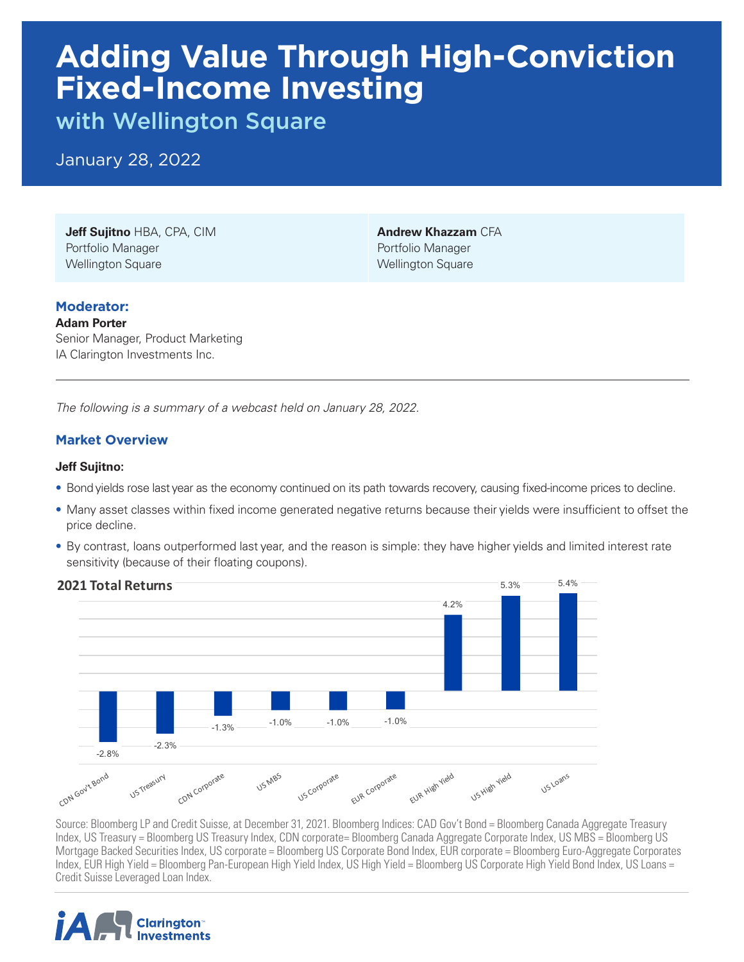# **Adding Value Through High-Conviction Fixed-Income Investing**

with Wellington Square

January 28, 2022

**Jeff Sujitno** HBA, CPA, CIM Portfolio Manager Wellington Square

**Andrew Khazzam** CFA Portfolio Manager Wellington Square

### **Moderator:**

**Adam Porter** Senior Manager, Product Marketing IA Clarington Investments Inc.

*The following is a summary of a webcast held on January 28, 2022.* 

## **Market Overview**

#### **Jeff Sujitno:**

- Bond yields rose last year as the economy continued on its path towards recovery, causing fixed-income prices to decline.
- Many asset classes within fixed income generated negative returns because their yields were insufficient to offset the price decline.
- price aecline.<br>• By contrast, loans outperformed last year, and the reason is simple: they have higher yields and limited interest rate sensitivity (because of their floating coupons).



Index, US Treasury = Bloomberg US Treasury Index, CDN corporate= Bloomberg Canada Aggregate Corporate Index, US MBS = Bloomberg US Mortgage Backed Securities Index, US corporate = Bloomberg US Corporate Bond Index, EUR corporate = Bloomberg Euro-Aggregate Corporates Index, EUR High Yield = Bloomberg Pan-European High Yield Index, US High Yield = Bloomberg US Corporate High Yield Bond Index, US Loans = mask, Estiman Tista Bissiliserg i Source: Bloomberg LP and Credit Suisse, at December 31, 2021. Bloomberg Indices: CAD Gov't Bond = Bloomberg Canada Aggregate Treasury

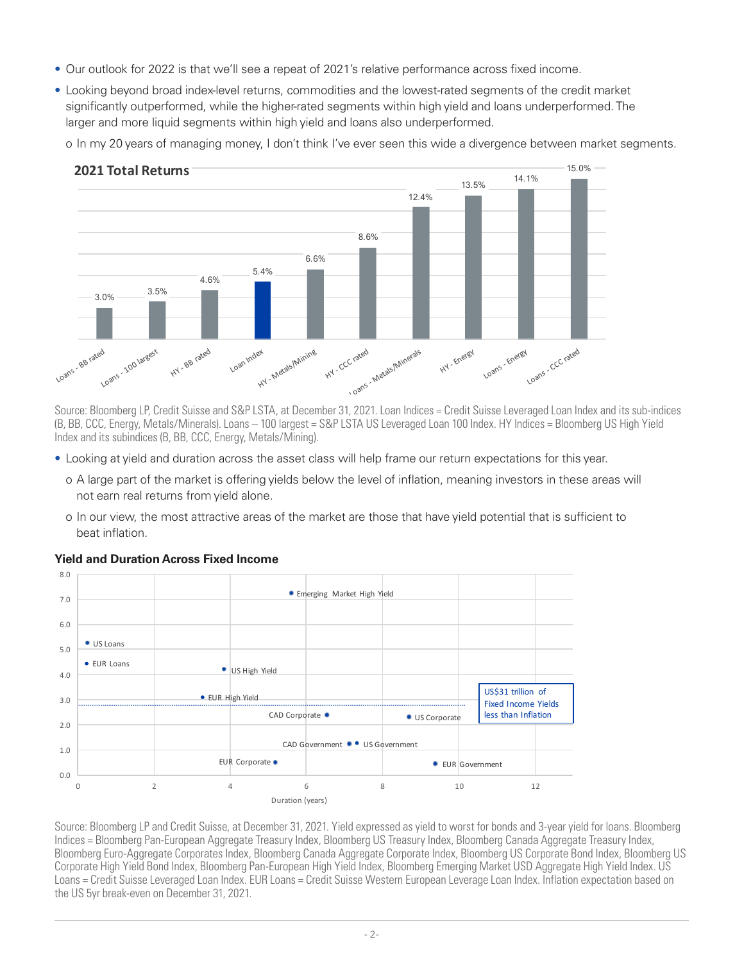- Our outlook for 2022 is that we'll see a repeat of 2021's relative performance across fixed income.
- Looking beyond broad index-level returns, commodities and the lowest-rated segments of the credit market significantly outperformed, while the higher-rated segments within high yield and loans underperformed. The biginizatiny datportunida, while the higher lated degitionts within high yield and loans a<br>larger and more liquid segments within high yield and loans also underperformed.

o In my 20 years of managing money, I don't think I've ever seen this wide a divergence between market segments.



(B, BB, CCC, Energy, Metals/Minerals). Loans — 100 largest = S&P LSTA US Leveraged Loan 100 Index. HY Indices = Bloomberg US High Yield Index and its subindices (B, BB, CCC, Energy, Metals/Mining). Source: Bloomberg LP, Credit Suisse and S&P LSTA, at December 31, 2021. Loan Indices = Credit Suisse Leveraged Loan Index and its sub-indices

- Looking at yield and duration across the asset class will help frame our return expectations for this year.
	- o A large part of the market is offering yields below the level of inflation, meaning investors in these areas will not earn real returns from yield alone.
- o In our view, the most attractive areas of the market are those that have yield potential that is sufficient to<br>beat inflation. beat inflation.



#### **Yield and Duration Across Fixed Income**

odipolato high hold bond mask, Biodinborg I an European high hold mask, Biodinborg Emorging Mantot 009 Aggregato high hold mask: 00<br>Loans = Credit Suisse Leveraged Loan Index. EUR Loans = Credit Suisse Western European Lev Indices = Bloomberg Pan-European Aggregate Treasury Index, Bloomberg US Treasury Index, Bloomberg Canada Aggregate Treasury Index, Bloomberg Euro-Aggregate Corporates Index, Bloomberg Canada Aggregate Corporate Index, Bloomberg US Corporate Bond Index, Bloomberg US Corporate High Yield Bond Index, Bloomberg Pan-European High Yield Index, Bloomberg Emerging Market USD Aggregate High Yield Index. US Source: Bloomberg LP and Credit Suisse, at December 31, 2021. Yield expressed as yield to worst for bonds and 3-year yield for loans. Bloomberg the US 5yr break-even on December 31, 2021.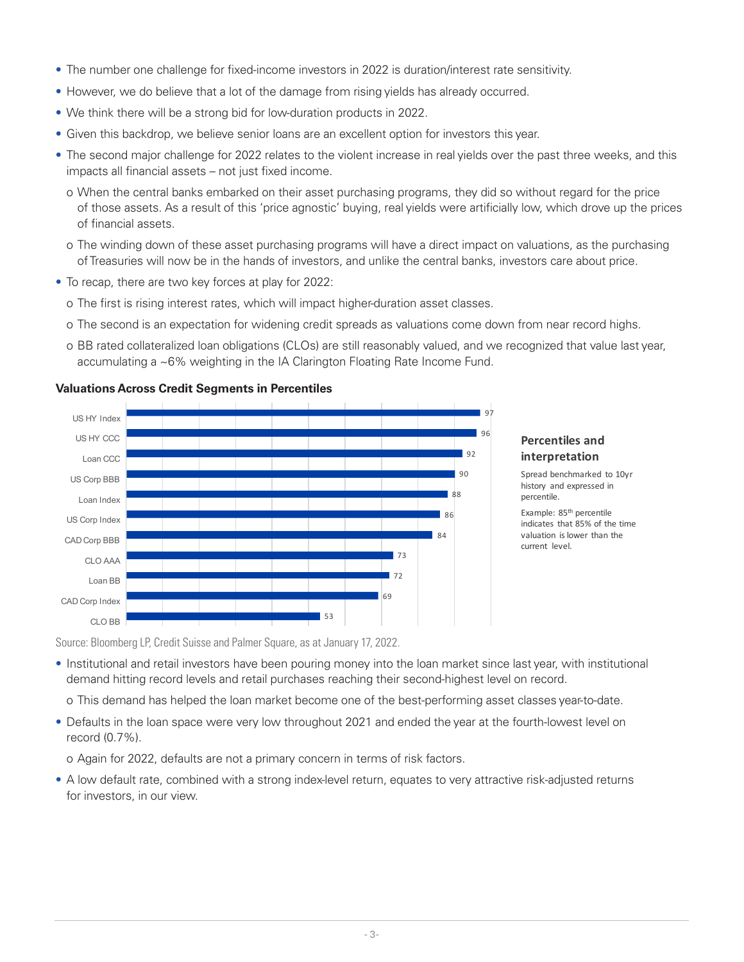- The number one challenge for fixed-income investors in 2022 is duration/interest rate sensitivity.
- However, we do believe that a lot of the damage from rising yields has already occurred.
- We think there will be a strong bid for low-duration products in 2022.
- Given this backdrop, we believe senior loans are an excellent option for investors this year.
- The second major challenge for 2022 relates to the violent increase in real yields over the past three weeks, and this impacts all financial assets – not just fixed income.
	- o When the central banks embarked on their asset purchasing programs, they did so without regard for the price of those assets. As a result of this 'price agnostic' buying, real yields were artificially low, which drove up the prices of financial assets.
	- o The winding down of these asset purchasing programs will have a direct impact on valuations, as the purchasing of Treasuries will now be in the hands of investors, and unlike the central banks, investors care about price.
- To recap, there are two key forces at play for 2022:
	- o The first is rising interest rates, which will impact higher-duration asset classes.
	- o The second is an expectation for widening credit spreads as valuations come down from near record highs.
- o BB rated collateralized loan obligations (CLOs) are still reasonably valued, and we recognized that value last year, o BB rated collateralized loan obligations (CLOs) are still reasonably valued, and we re<br>accumulating a ~6% weighting in the IA Clarington Floating Rate Income Fund.



#### **Valuations Across Credit Segments in Percentiles**

#### **Percentiles and interpretation**

Spread benchmarked to 10yr history and expressed in percentile. 

Example: 85<sup>th</sup> percentile indicates that 85% of the time valuation is lower than the current level.

Source: Bloomberg LP, Credit Suisse and Palmer Square, as at January 17, 2022.

- Institutional and retail investors have been pouring money into the loan market since last year, with institutional demand hitting record levels and retail purchases reaching their second-highest level on record.
- o This demand has helped the loan market become one of the best-performing asset classes year-to-date.
- Defaults in the loan space were very low throughout 2021 and ended the year at the fourth-lowest level on record (0.7%).

o Again for 2022, defaults are not a primary concern in terms of risk factors.

• A low default rate, combined with a strong index-level return, equates to very attractive risk-adjusted returns for investors, in our view.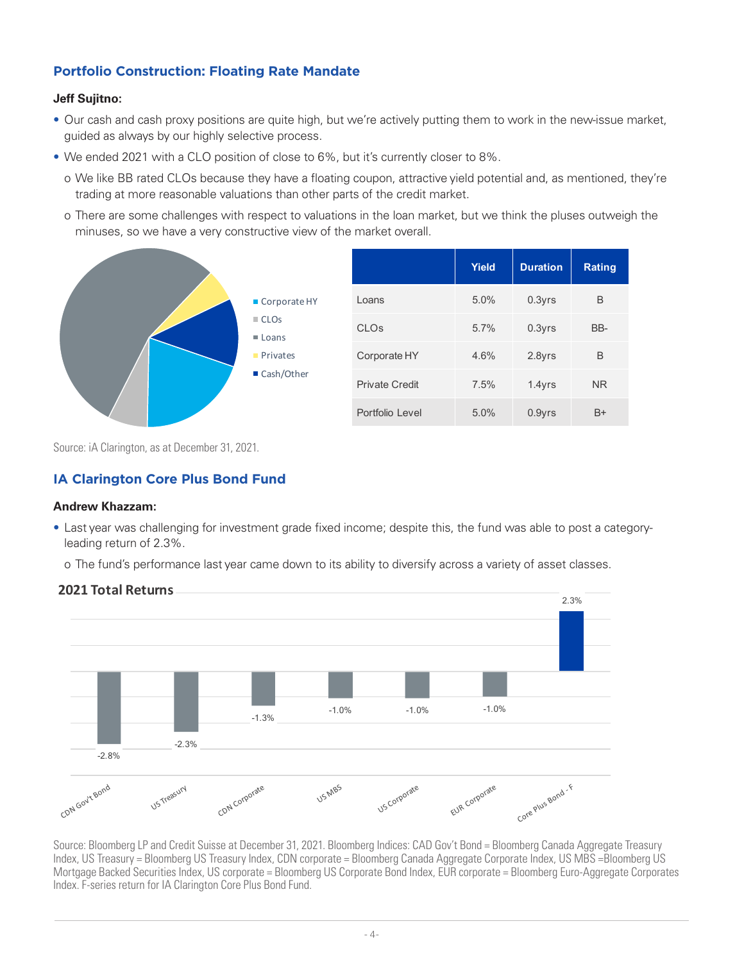## **Portfolio Construction: Floating Rate Mandate**

#### **Jeff Sujitno:**

- Our cash and cash proxy positions are quite high, but we're actively putting them to work in the new-issue market, guided as always by our highly selective process.
- We ended 2021 with a CLO position of close to 6%, but it's currently closer to 8%.
- o We like BB rated CLOs because they have a floating coupon, attractive yield potential and, as mentioned, they're **Income the construction** than other parts of the credit market trading at more reasonable valuations than other parts of the credit market.
- o There are some challenges with respect to valuations in the loan market, but we think the pluses outweigh the minuses, so we have a very constructive view of the market overall.



Source: iA Clarington, as at December 31, 2021.

## **IA Clarington Core Plus Bond Fund**

#### **Andrew Khazzam:**

• Last year was challenging for investment grade fixed income; despite this, the fund was able to post a category-<br>leading return of 2.3%. leading return of 2.3%.

o The fund's performance last year came down to its ability to diversify across a variety of asset classes.



Source: Bloomberg LP and Credit Suisse at December 31, 2021. Bloomberg Indices: CAD Gov't Bond = Bloomberg Canada Aggregate Treasury Index, US Treasury = Bloomberg US Treasury Index, CDN corporate = Bloomberg Canada Aggregate Corporate Index, US MBS =Bloomberg US Mortgage Backed Securities Index, US corporate = Bloomberg US Corporate Bond Index, EUR corporate = Bloomberg Euro-Aggregate Corporates Index. F-series return for IA Clarington Core Plus Bond Fund.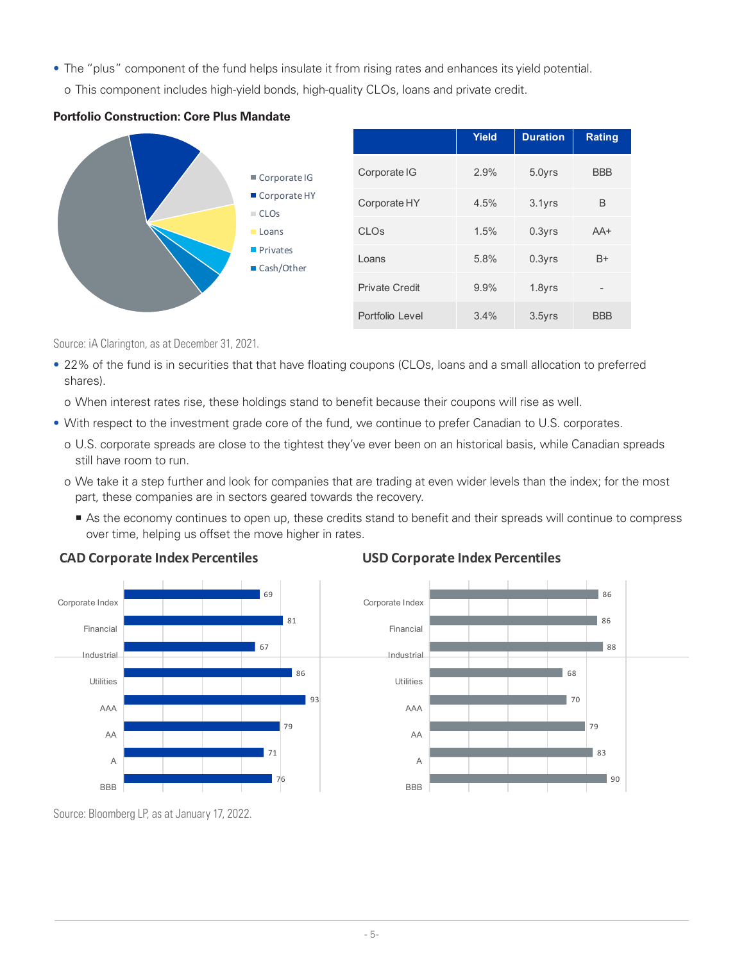- The "plus" component of the fund helps insulate it from rising rates and enhances its yield potential.
	- o This component includes high-yield bonds, high-quality CLOs, loans and private credit.





Source: iA Clarington, as at December 31, 2021.

shares). • 22% of the fund is in securities that that have floating coupons (CLOs, loans and a small allocation to preferred

o When interest rates rise, these holdings stand to benefit because their coupons will rise as well.

- With respect to the investment grade core of the fund, we continue to prefer Canadian to U.S. corporates.
	- o U.S. corporate spreads are close to the tightest they've ever been on an historical basis, while Canadian spreads still have room to run.
	- o We take it a step further and look for companies that are trading at even wider levels than the index; for the most part, these companies are in sectors geared towards the recovery.
	- part, these companies are in sectors geared towards the recovery.<br>■ As the economy continues to open up, these credits stand to benefit and their spreads will continue to compress over time, helping us offset the move higher in rates.





## **USD Corporate Index Percentiles**



Source: Bloomberg LP, as at January 17, 2022.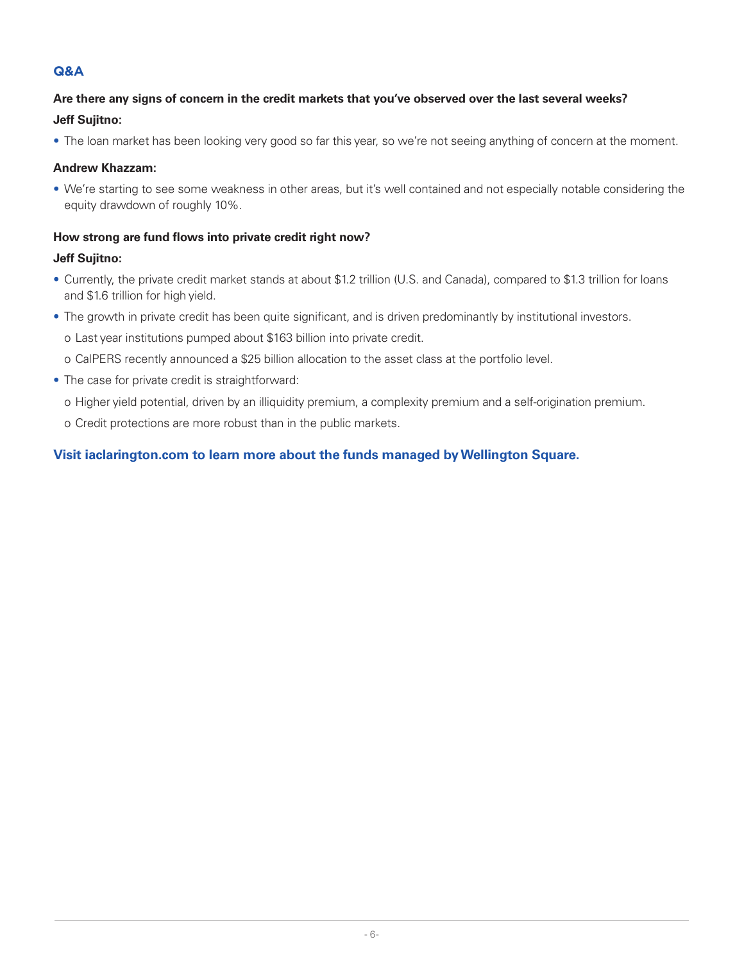## **Q&A**

## **Are there any signs of concern in the credit markets that you've observed over the last several weeks? Jeff Sujitno:**

• The loan market has been looking very good so far this year, so we're not seeing anything of concern at the moment.

#### **Andrew Khazzam:**

• We're starting to see some weakness in other areas, but it's well contained and not especially notable considering the equity drawdown of roughly 10%.

#### **How strong are fund flows into private credit right now?**

#### **Jeff Sujitno:**

- Currently, the private credit market stands at about \$1.2 trillion (U.S. and Canada), compared to \$1.3 trillion for loans and \$1.6 trillion for high yield.
- The growth in private credit has been quite significant, and is driven predominantly by institutional investors.
	- o Last year institutions pumped about \$163 billion into private credit.
	- o CalPERS recently announced a \$25 billion allocation to the asset class at the portfolio level.
- The case for private credit is straightforward:
	- o Higher yield potential, driven by an illiquidity premium, a complexity premium and a self-origination premium.
	- o Credit protections are more robust than in the public markets.

## **Visit iaclarington.com to learn more about the funds managed by Wellington Square.**